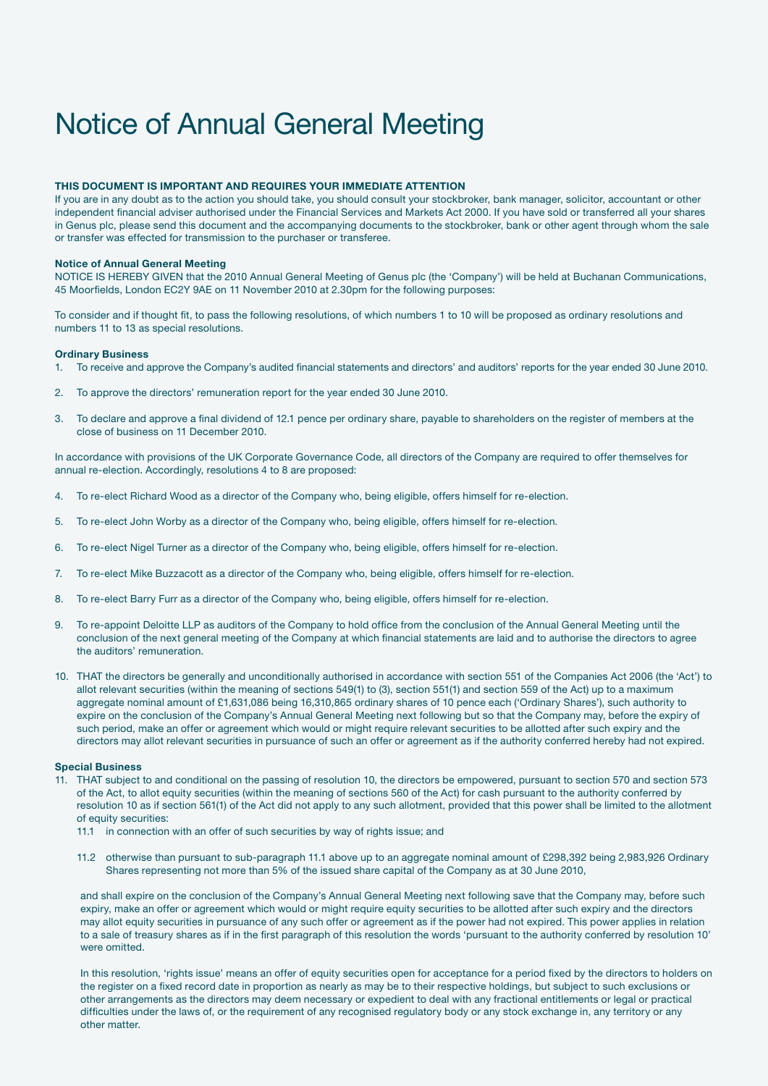# Notice of Annual General Meeting

#### THIS DOCUMENT IS IMPORTANT AND REQUIRES YOUR IMMEDIATE ATTENTION

If you are in any doubt as to the action you should take, you should consult your stockbroker, bank manager, solicitor, accountant or other independent financial adviser authorised under the Financial Services and Markets Act 2000. If you have sold or transferred all your shares in Genus plc, please send this document and the accompanying documents to the stockbroker, bank or other agent through whom the sale or transfer was effected for transmission to the purchaser or transferee.

#### Notice of Annual General Meeting

NOTICE IS HEREBY GIVEN that the 2010 Annual General Meeting of Genus plc (the 'Company') will be held at Buchanan Communications, 45 Moorfields, London EC2Y 9AE on 11 November 2010 at 2.30pm for the following purposes:

To consider and if thought fit, to pass the following resolutions, of which numbers 1 to 10 will be proposed as ordinary resolutions and numbers 11 to 13 as special resolutions.

#### Ordinary Business

- 1. To receive and approve the Company's audited financial statements and directors' and auditors' reports for the year ended 30 June 2010.
- 2. To approve the directors' remuneration report for the year ended 30 June 2010.
- 3. To declare and approve a final dividend of 12.1 pence per ordinary share, payable to shareholders on the register of members at the close of business on 11 December 2010.

In accordance with provisions of the UK Corporate Governance Code, all directors of the Company are required to offer themselves for annual re-election. Accordingly, resolutions 4 to 8 are proposed:

- 4. To re-elect Richard Wood as a director of the Company who, being eligible, offers himself for re-election.
- 5. To re-elect John Worby as a director of the Company who, being eligible, offers himself for re-election.
- 6. To re-elect Nigel Turner as a director of the Company who, being eligible, offers himself for re-election.
- 7. To re-elect Mike Buzzacott as a director of the Company who, being eligible, offers himself for re-election.
- 8. To re-elect Barry Furr as a director of the Company who, being eligible, offers himself for re-election.
- 9. To re-appoint Deloitte LLP as auditors of the Company to hold office from the conclusion of the Annual General Meeting until the conclusion of the next general meeting of the Company at which financial statements are laid and to authorise the directors to agree the auditors' remuneration.
- 10. THAT the directors be generally and unconditionally authorised in accordance with section 551 of the Companies Act 2006 (the 'Act') to allot relevant securities (within the meaning of sections 549(1) to (3), section 551(1) and section 559 of the Act) up to a maximum aggregate nominal amount of £1,631,086 being 16,310,865 ordinary shares of 10 pence each ('Ordinary Shares'), such authority to expire on the conclusion of the Company's Annual General Meeting next following but so that the Company may, before the expiry of such period, make an offer or agreement which would or might require relevant securities to be allotted after such expiry and the directors may allot relevant securities in pursuance of such an offer or agreement as if the authority conferred hereby had not expired.

#### Special Business

- 11. THAT subject to and conditional on the passing of resolution 10, the directors be empowered, pursuant to section 570 and section 573 of the Act, to allot equity securities (within the meaning of sections 560 of the Act) for cash pursuant to the authority conferred by resolution 10 as if section 561(1) of the Act did not apply to any such allotment, provided that this power shall be limited to the allotment of equity securities:
	- 11.1 in connection with an offer of such securities by way of rights issue; and
	- 11.2 otherwise than pursuant to sub-paragraph 11.1 above up to an aggregate nominal amount of £298,392 being 2,983,926 Ordinary Shares representing not more than 5% of the issued share capital of the Company as at 30 June 2010,

and shall expire on the conclusion of the Company's Annual General Meeting next following save that the Company may, before such expiry, make an offer or agreement which would or might require equity securities to be allotted after such expiry and the directors may allot equity securities in pursuance of any such offer or agreement as if the power had not expired. This power applies in relation to a sale of treasury shares as if in the first paragraph of this resolution the words 'pursuant to the authority conferred by resolution 10' were omitted.

In this resolution, 'rights issue' means an offer of equity securities open for acceptance for a period fixed by the directors to holders on the register on a fixed record date in proportion as nearly as may be to their respective holdings, but subject to such exclusions or other arrangements as the directors may deem necessary or expedient to deal with any fractional entitlements or legal or practical difficulties under the laws of, or the requirement of any recognised regulatory body or any stock exchange in, any territory or any other matter.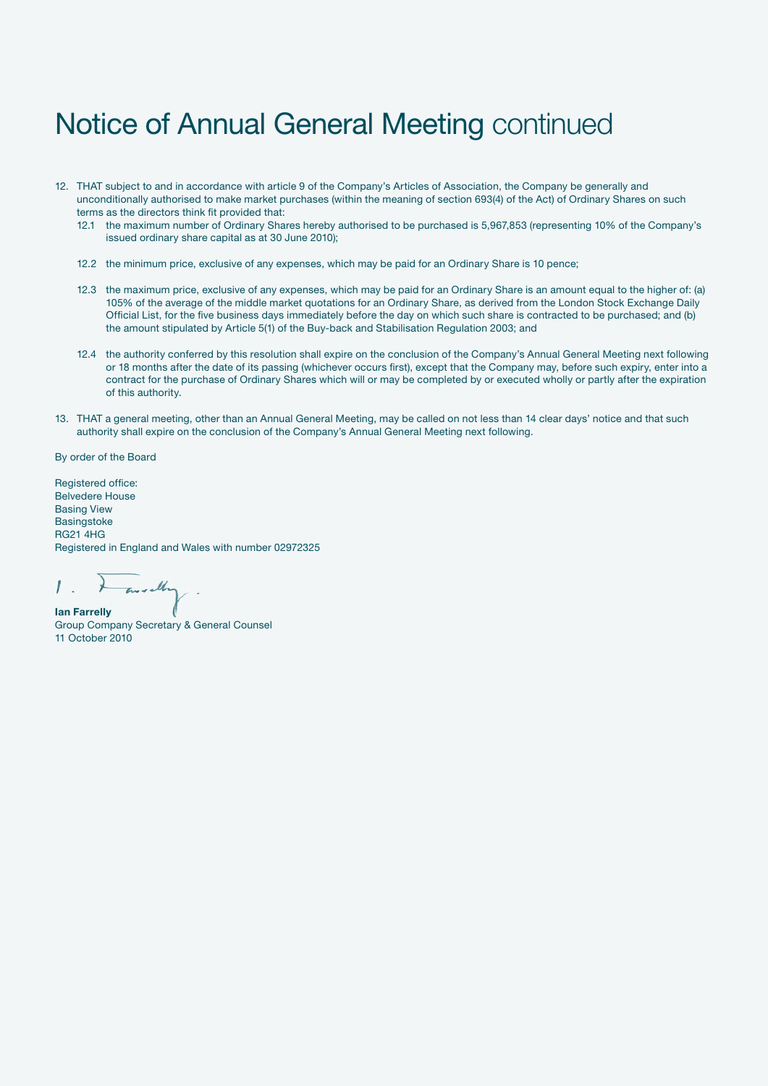### Notice of Annual General Meeting continued

- 12. THAT subject to and in accordance with article 9 of the Company's Articles of Association, the Company be generally and unconditionally authorised to make market purchases (within the meaning of section 693(4) of the Act) of Ordinary Shares on such terms as the directors think fit provided that:
	- 12.1 the maximum number of Ordinary Shares hereby authorised to be purchased is 5,967,853 (representing 10% of the Company's issued ordinary share capital as at 30 June 2010);
	- 12.2 the minimum price, exclusive of any expenses, which may be paid for an Ordinary Share is 10 pence;
	- 12.3 the maximum price, exclusive of any expenses, which may be paid for an Ordinary Share is an amount equal to the higher of: (a) 105% of the average of the middle market quotations for an Ordinary Share, as derived from the London Stock Exchange Daily Official List, for the five business days immediately before the day on which such share is contracted to be purchased; and (b) the amount stipulated by Article 5(1) of the Buy-back and Stabilisation Regulation 2003; and
	- 12.4 the authority conferred by this resolution shall expire on the conclusion of the Company's Annual General Meeting next following or 18 months after the date of its passing (whichever occurs first), except that the Company may, before such expiry, enter into a contract for the purchase of Ordinary Shares which will or may be completed by or executed wholly or partly after the expiration of this authority.
- 13. THAT a general meeting, other than an Annual General Meeting, may be called on not less than 14 clear days' notice and that such authority shall expire on the conclusion of the Company's Annual General Meeting next following.

By order of the Board

Registered office: Belvedere House Basing View **Basingstoke** RG21 4HG Registered in England and Wales with number 02972325

 $\overline{I}$ Indha Ian Farrelly

Group Company Secretary & General Counsel 11 October 2010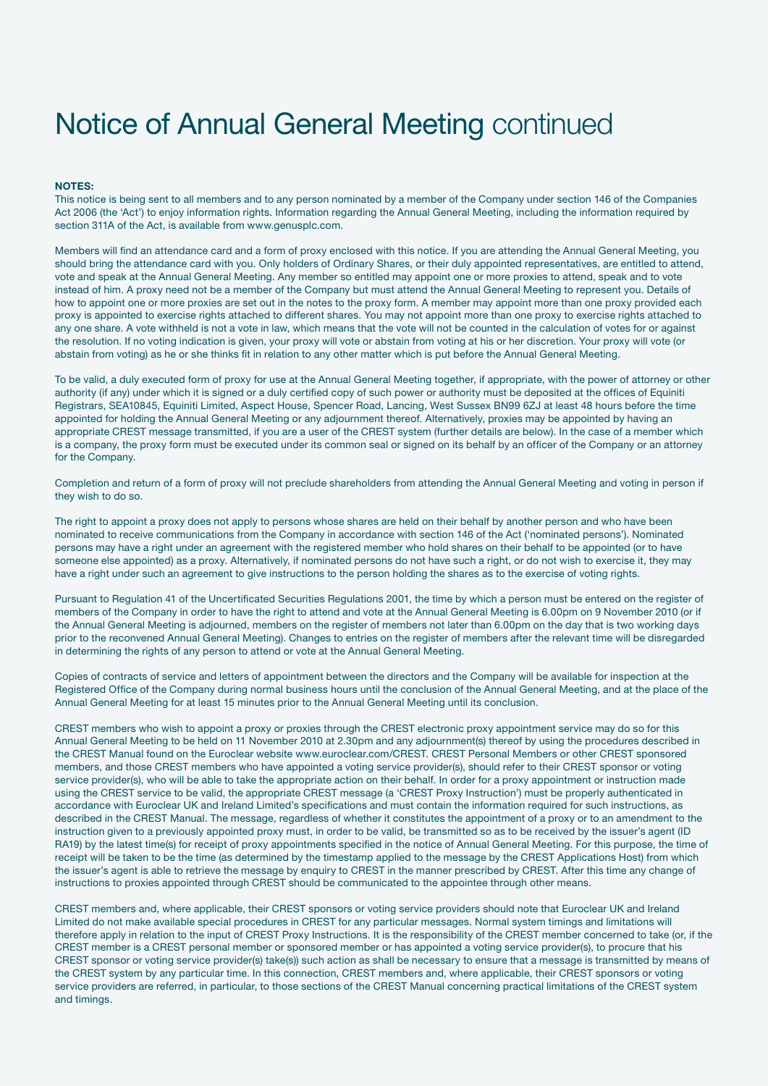# Notice of Annual General Meeting continued

#### NOTES:

This notice is being sent to all members and to any person nominated by a member of the Company under section 146 of the Companies Act 2006 (the 'Act') to enjoy information rights. Information regarding the Annual General Meeting, including the information required by section 311A of the Act, is available from www.genusplc.com.

Members will find an attendance card and a form of proxy enclosed with this notice. If you are attending the Annual General Meeting, you should bring the attendance card with you. Only holders of Ordinary Shares, or their duly appointed representatives, are entitled to attend, vote and speak at the Annual General Meeting. Any member so entitled may appoint one or more proxies to attend, speak and to vote instead of him. A proxy need not be a member of the Company but must attend the Annual General Meeting to represent you. Details of how to appoint one or more proxies are set out in the notes to the proxy form. A member may appoint more than one proxy provided each proxy is appointed to exercise rights attached to different shares. You may not appoint more than one proxy to exercise rights attached to any one share. A vote withheld is not a vote in law, which means that the vote will not be counted in the calculation of votes for or against the resolution. If no voting indication is given, your proxy will vote or abstain from voting at his or her discretion. Your proxy will vote (or abstain from voting) as he or she thinks fit in relation to any other matter which is put before the Annual General Meeting.

To be valid, a duly executed form of proxy for use at the Annual General Meeting together, if appropriate, with the power of attorney or other authority (if any) under which it is signed or a duly certified copy of such power or authority must be deposited at the offices of Equiniti Registrars, SEA10845, Equiniti Limited, Aspect House, Spencer Road, Lancing, West Sussex BN99 6ZJ at least 48 hours before the time appointed for holding the Annual General Meeting or any adjournment thereof. Alternatively, proxies may be appointed by having an appropriate CREST message transmitted, if you are a user of the CREST system (further details are below). In the case of a member which is a company, the proxy form must be executed under its common seal or signed on its behalf by an officer of the Company or an attorney for the Company.

Completion and return of a form of proxy will not preclude shareholders from attending the Annual General Meeting and voting in person if they wish to do so.

The right to appoint a proxy does not apply to persons whose shares are held on their behalf by another person and who have been nominated to receive communications from the Company in accordance with section 146 of the Act ('nominated persons'). Nominated persons may have a right under an agreement with the registered member who hold shares on their behalf to be appointed (or to have someone else appointed) as a proxy. Alternatively, if nominated persons do not have such a right, or do not wish to exercise it, they may have a right under such an agreement to give instructions to the person holding the shares as to the exercise of voting rights.

Pursuant to Regulation 41 of the Uncertificated Securities Regulations 2001, the time by which a person must be entered on the register of members of the Company in order to have the right to attend and vote at the Annual General Meeting is 6.00pm on 9 November 2010 (or if the Annual General Meeting is adjourned, members on the register of members not later than 6.00pm on the day that is two working days prior to the reconvened Annual General Meeting). Changes to entries on the register of members after the relevant time will be disregarded in determining the rights of any person to attend or vote at the Annual General Meeting.

Copies of contracts of service and letters of appointment between the directors and the Company will be available for inspection at the Registered Office of the Company during normal business hours until the conclusion of the Annual General Meeting, and at the place of the Annual General Meeting for at least 15 minutes prior to the Annual General Meeting until its conclusion.

CREST members who wish to appoint a proxy or proxies through the CREST electronic proxy appointment service may do so for this Annual General Meeting to be held on 11 November 2010 at 2.30pm and any adjournment(s) thereof by using the procedures described in the CREST Manual found on the Euroclear website www.euroclear.com/CREST. CREST Personal Members or other CREST sponsored members, and those CREST members who have appointed a voting service provider(s), should refer to their CREST sponsor or voting service provider(s), who will be able to take the appropriate action on their behalf. In order for a proxy appointment or instruction made using the CREST service to be valid, the appropriate CREST message (a 'CREST Proxy Instruction') must be properly authenticated in accordance with Euroclear UK and Ireland Limited's specifications and must contain the information required for such instructions, as described in the CREST Manual. The message, regardless of whether it constitutes the appointment of a proxy or to an amendment to the instruction given to a previously appointed proxy must, in order to be valid, be transmitted so as to be received by the issuer's agent (ID RA19) by the latest time(s) for receipt of proxy appointments specified in the notice of Annual General Meeting. For this purpose, the time of receipt will be taken to be the time (as determined by the timestamp applied to the message by the CREST Applications Host) from which the issuer's agent is able to retrieve the message by enquiry to CREST in the manner prescribed by CREST. After this time any change of instructions to proxies appointed through CREST should be communicated to the appointee through other means.

CREST members and, where applicable, their CREST sponsors or voting service providers should note that Euroclear UK and Ireland Limited do not make available special procedures in CREST for any particular messages. Normal system timings and limitations will therefore apply in relation to the input of CREST Proxy Instructions. It is the responsibility of the CREST member concerned to take (or, if the CREST member is a CREST personal member or sponsored member or has appointed a voting service provider(s), to procure that his CREST sponsor or voting service provider(s) take(s)) such action as shall be necessary to ensure that a message is transmitted by means of the CREST system by any particular time. In this connection, CREST members and, where applicable, their CREST sponsors or voting service providers are referred, in particular, to those sections of the CREST Manual concerning practical limitations of the CREST system and timings.